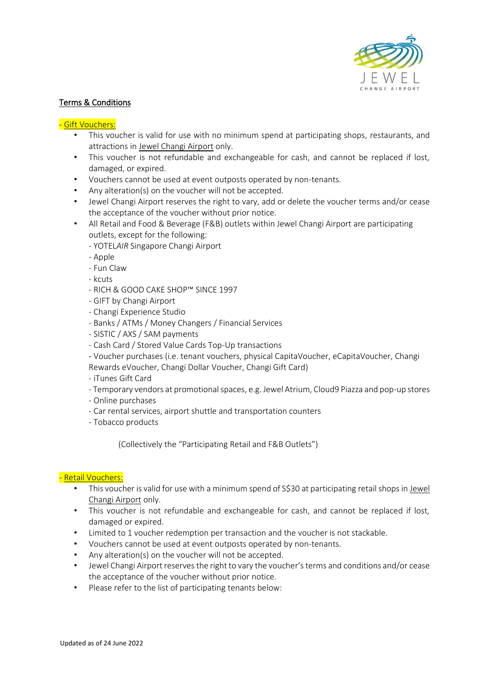

## Terms & Conditions

## - Gift Vouchers:

- This voucher is valid for use with no minimum spend at participating shops, restaurants, and attractions in Jewel Changi Airport only.
- This voucher is not refundable and exchangeable for cash, and cannot be replaced if lost, damaged, or expired.
- Vouchers cannot be used at event outposts operated by non-tenants.
- Any alteration(s) on the voucher will not be accepted.
- Jewel Changi Airport reserves the right to vary, add or delete the voucher terms and/or cease the acceptance of the voucher without prior notice.
- All Retail and Food & Beverage (F&B) outlets within Jewel Changi Airport are participating outlets, except for the following:
	- YOTEL*AIR* Singapore Changi Airport
	- Apple
	- Fun Claw
	- kcuts
	- RICH & GOOD CAKE SHOP™ SINCE 1997
	- GIFT by Changi Airport
	- Changi Experience Studio
	- Banks / ATMs / Money Changers / Financial Services
	- SISTIC / AXS / SAM payments
	- Cash Card / Stored Value Cards Top-Up transactions
	- Voucher purchases (i.e. tenant vouchers, physical CapitaVoucher, eCapitaVoucher, Changi Rewards eVoucher, Changi Dollar Voucher, Changi Gift Card)
	- iTunes Gift Card
	- Temporary vendors at promotional spaces, e.g. Jewel Atrium, Cloud9 Piazza and pop-up stores
	- Online purchases
	- Car rental services, airport shuttle and transportation counters
	- Tobacco products

(Collectively the "Participating Retail and F&B Outlets")

## - Retail Vouchers:

- This voucher is valid for use with a minimum spend of S\$30 at participating retail shops in Jewel Changi Airport only.
- This voucher is not refundable and exchangeable for cash, and cannot be replaced if lost, damaged or expired.
- Limited to 1 voucher redemption per transaction and the voucher is not stackable.
- Vouchers cannot be used at event outposts operated by non-tenants.
- Any alteration(s) on the voucher will not be accepted.
- Jewel Changi Airport reserves the right to vary the voucher's terms and conditions and/or cease the acceptance of the voucher without prior notice.
- Please refer to the list of participating tenants below: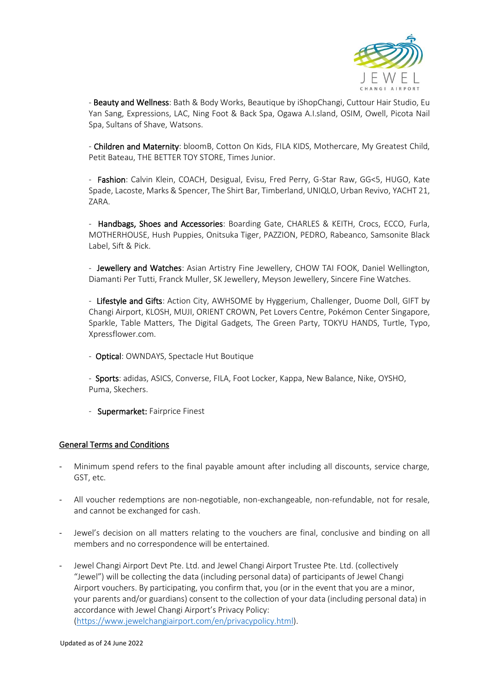

- Beauty and Wellness: Bath & Body Works, Beautique by iShopChangi, Cuttour Hair Studio, Eu Yan Sang, Expressions, LAC, Ning Foot & Back Spa, Ogawa A.I.sland, OSIM, Owell, Picota Nail Spa, Sultans of Shave, Watsons.

- Children and Maternity: bloomB, Cotton On Kids, FILA KIDS, Mothercare, My Greatest Child, Petit Bateau, THE BETTER TOY STORE, Times Junior.

- Fashion: Calvin Klein, COACH, Desigual, Evisu, Fred Perry, G-Star Raw, GG<5, HUGO, Kate Spade, Lacoste, Marks & Spencer, The Shirt Bar, Timberland, UNIQLO, Urban Revivo, YACHT 21, ZARA.

- Handbags, Shoes and Accessories: Boarding Gate, CHARLES & KEITH, Crocs, ECCO, Furla, MOTHERHOUSE, Hush Puppies, Onitsuka Tiger, PAZZION, PEDRO, Rabeanco, Samsonite Black Label, Sift & Pick.

- Jewellery and Watches: Asian Artistry Fine Jewellery, CHOW TAI FOOK, Daniel Wellington, Diamanti Per Tutti, Franck Muller, SK Jewellery, Meyson Jewellery, Sincere Fine Watches.

- Lifestyle and Gifts: Action City, AWHSOME by Hyggerium, Challenger, Duome Doll, GIFT by Changi Airport, KLOSH, MUJI, ORIENT CROWN, Pet Lovers Centre, Pokémon Center Singapore, Sparkle, Table Matters, The Digital Gadgets, The Green Party, TOKYU HANDS, Turtle, Typo, Xpressflower.com.

- Optical: OWNDAYS, Spectacle Hut Boutique

- Sports: adidas, ASICS, Converse, FILA, Foot Locker, Kappa, New Balance, Nike, OYSHO, Puma, Skechers.

- Supermarket: Fairprice Finest

## General Terms and Conditions

- Minimum spend refers to the final payable amount after including all discounts, service charge, GST, etc.
- All voucher redemptions are non-negotiable, non-exchangeable, non-refundable, not for resale, and cannot be exchanged for cash.
- Jewel's decision on all matters relating to the vouchers are final, conclusive and binding on all members and no correspondence will be entertained.
- Jewel Changi Airport Devt Pte. Ltd. and Jewel Changi Airport Trustee Pte. Ltd. (collectively "Jewel") will be collecting the data (including personal data) of participants of Jewel Changi Airport vouchers. By participating, you confirm that, you (or in the event that you are a minor, your parents and/or guardians) consent to the collection of your data (including personal data) in accordance with Jewel Changi Airport's Privacy Policy: [\(https://www.jewelchangiairport.com/en/privacypolicy.html\)](https://www.jewelchangiairport.com/en/privacypolicy.html).